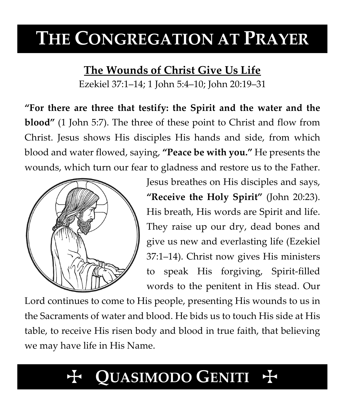# **THE CONGREGATION AT PRAYER**

# **The Wounds of Christ Give Us Life**

Ezekiel 37:1–14; 1 John 5:4–10; John 20:19–31

**"For there are three that testify: the Spirit and the water and the blood"** (1 John 5:7). The three of these point to Christ and flow from Christ. Jesus shows His disciples His hands and side, from which blood and water flowed, saying, **"Peace be with you."** He presents the wounds, which turn our fear to gladness and restore us to the Father.



Jesus breathes on His disciples and says, **"Receive the Holy Spirit"** (John 20:23). His breath, His words are Spirit and life. They raise up our dry, dead bones and give us new and everlasting life (Ezekiel 37:1–14). Christ now gives His ministers to speak His forgiving, Spirit-filled words to the penitent in His stead. Our

Lord continues to come to His people, presenting His wounds to us in the Sacraments of water and blood. He bids us to touch His side at His table, to receive His risen body and blood in true faith, that believing we may have life in His Name.

# QUASIMODO GENITI +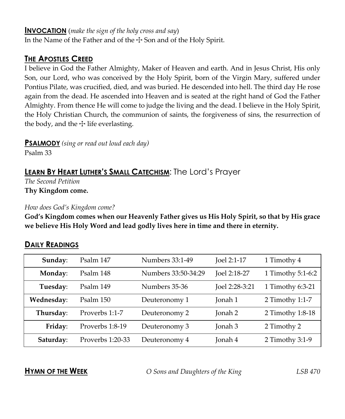#### **INVOCATION** (*make the sign of the holy cross and say*)

In the Name of the Father and of the  $\pm$  Son and of the Holy Spirit.

## **THE APOSTLES CREED**

I believe in God the Father Almighty, Maker of Heaven and earth. And in Jesus Christ, His only Son, our Lord, who was conceived by the Holy Spirit, born of the Virgin Mary, suffered under Pontius Pilate, was crucified, died, and was buried. He descended into hell. The third day He rose again from the dead. He ascended into Heaven and is seated at the right hand of God the Father Almighty. From thence He will come to judge the living and the dead. I believe in the Holy Spirit, the Holy Christian Church, the communion of saints, the forgiveness of sins, the resurrection of the body, and the  $\pm$  life everlasting.

**PSALMODY** *(sing or read out loud each day)*

Psalm 33

# **LEARN BY HEART LUTHER'S SMALL CATECHISM**: The Lord's Prayer

*The Second Petition* **Thy Kingdom come.**

#### *How does God's Kingdom come?*

**God's Kingdom comes when our Heavenly Father gives us His Holy Spirit, so that by His grace we believe His Holy Word and lead godly lives here in time and there in eternity.**

### **DAILY READINGS**

| Sunday:    | Psalm 147        | Numbers 33:1-49     | Joel 2:1-17    | 1 Timothy 4       |
|------------|------------------|---------------------|----------------|-------------------|
| Monday:    | Psalm 148        | Numbers 33:50-34:29 | Joel 2:18-27   | 1 Timothy 5:1-6:2 |
| Tuesday:   | Psalm 149        | Numbers 35-36       | Joel 2:28-3:21 | 1 Timothy 6:3-21  |
| Wednesday: | Psalm 150        | Deuteronomy 1       | Jonah 1        | 2 Timothy 1:1-7   |
| Thursday:  | Proverbs 1:1-7   | Deuteronomy 2       | Jonah 2        | 2 Timothy 1:8-18  |
| Friday:    | Proverbs 1:8-19  | Deuteronomy 3       | Jonah 3        | 2 Timothy 2       |
| Saturday:  | Proverbs 1:20-33 | Deuteronomy 4       | Jonah 4        | 2 Timothy 3:1-9   |

**HYMN OF THE WEEK** *O Sons and Daughters of the King LSB 470*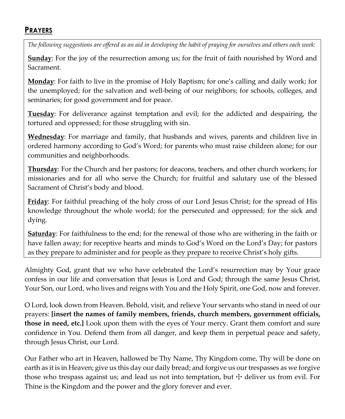### **PRAYERS**

*The following suggestions are offered as an aid in developing the habit of praying for ourselves and others each week:*

**Sunday**: For the joy of the resurrection among us; for the fruit of faith nourished by Word and Sacrament.

**Monday**: For faith to live in the promise of Holy Baptism; for one's calling and daily work; for the unemployed; for the salvation and well-being of our neighbors; for schools, colleges, and seminaries; for good government and for peace.

**Tuesday**: For deliverance against temptation and evil; for the addicted and despairing, the tortured and oppressed; for those struggling with sin.

**Wednesday**: For marriage and family, that husbands and wives, parents and children live in ordered harmony according to God's Word; for parents who must raise children alone; for our communities and neighborhoods.

**Thursday**: For the Church and her pastors; for deacons, teachers, and other church workers; for missionaries and for all who serve the Church; for fruitful and salutary use of the blessed Sacrament of Christ's body and blood.

**Friday**: For faithful preaching of the holy cross of our Lord Jesus Christ; for the spread of His knowledge throughout the whole world; for the persecuted and oppressed; for the sick and dying.

**Saturday**: For faithfulness to the end; for the renewal of those who are withering in the faith or have fallen away; for receptive hearts and minds to God's Word on the Lord's Day; for pastors as they prepare to administer and for people as they prepare to receive Christ's holy gifts.

Almighty God, grant that we who have celebrated the Lord's resurrection may by Your grace confess in our life and conversation that Jesus is Lord and God; through the same Jesus Christ, Your Son, our Lord, who lives and reigns with You and the Holy Spirit, one God, now and forever.

O Lord, look down from Heaven. Behold, visit, and relieve Your servants who stand in need of our prayers: **[insert the names of family members, friends, church members, government officials, those in need, etc.]** Look upon them with the eyes of Your mercy. Grant them comfort and sure confidence in You. Defend them from all danger, and keep them in perpetual peace and safety, through Jesus Christ, our Lord.

Our Father who art in Heaven, hallowed be Thy Name, Thy Kingdom come, Thy will be done on earth as it is in Heaven; give us this day our daily bread; and forgive us our trespasses as we forgive those who trespass against us; and lead us not into temptation, but  $\pm$  deliver us from evil. For Thine is the Kingdom and the power and the glory forever and ever.